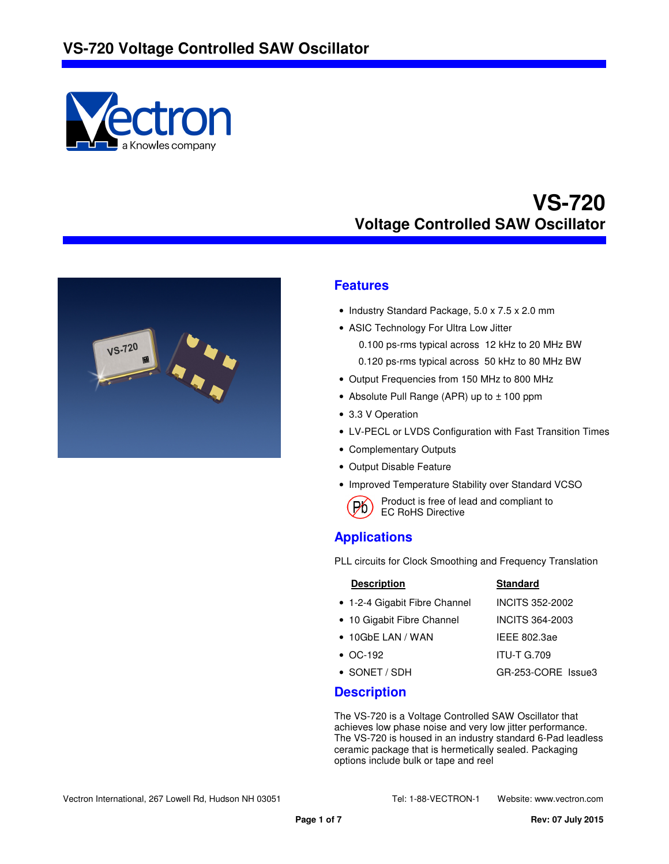



#### **Features**

- Industry Standard Package, 5.0 x 7.5 x 2.0 mm
- ASIC Technology For Ultra Low Jitter
	- 0.100 ps-rms typical across 12 kHz to 20 MHz BW 0.120 ps-rms typical across 50 kHz to 80 MHz BW
- Output Frequencies from 150 MHz to 800 MHz
- Absolute Pull Range (APR) up to ± 100 ppm
- 3.3 V Operation
- LV-PECL or LVDS Configuration with Fast Transition Times
- Complementary Outputs
- Output Disable Feature
- Improved Temperature Stability over Standard VCSO
	- Product is free of lead and compliant to **P6** Product is tree of le<br>EC RoHS Directive

#### **Applications**

PLL circuits for Clock Smoothing and Frequency Translation

| <b>Description</b>            | <b>Standard</b>        |
|-------------------------------|------------------------|
| • 1-2-4 Gigabit Fibre Channel | <b>INCITS 352-2002</b> |
| • 10 Gigabit Fibre Channel    | INCITS 364-2003        |
| $\bullet$ 10GbE LAN / WAN     | IEEE 802.3ae           |
| $\bullet$ $OC-192$            | <b>ITU-T G.709</b>     |
| $\bullet$ SONET / SDH         | GR-253-CORE Issue3     |

#### **Description**

The VS-720 is a Voltage Controlled SAW Oscillator that achieves low phase noise and very low jitter performance. The VS-720 is housed in an industry standard 6-Pad leadless ceramic package that is hermetically sealed. Packaging options include bulk or tape and reel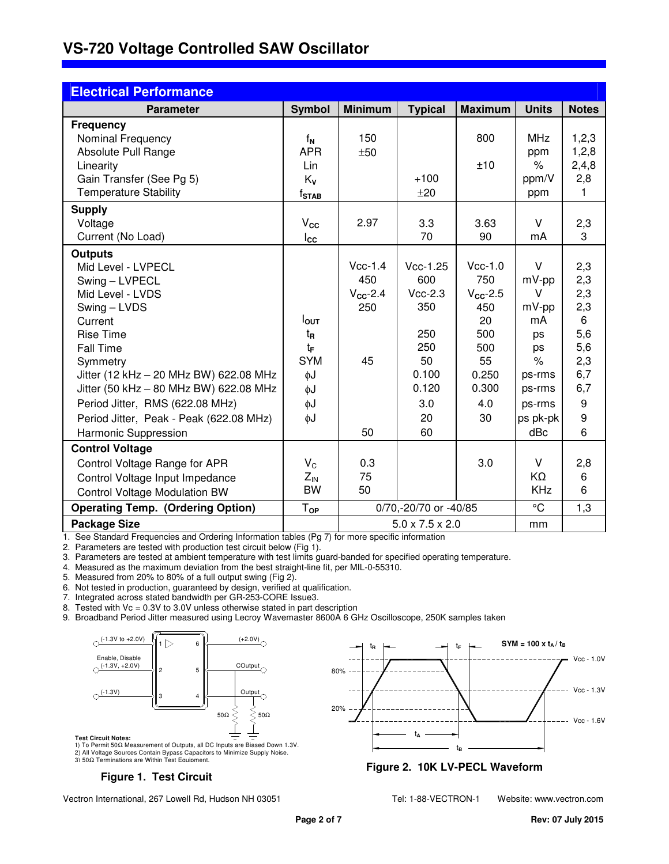| <b>Electrical Performance</b>                                                    |                     |                       |                             |                      |               |              |
|----------------------------------------------------------------------------------|---------------------|-----------------------|-----------------------------|----------------------|---------------|--------------|
| <b>Parameter</b>                                                                 | <b>Symbol</b>       | <b>Minimum</b>        | <b>Typical</b>              | <b>Maximum</b>       | <b>Units</b>  | <b>Notes</b> |
| <b>Frequency</b>                                                                 |                     |                       |                             |                      |               |              |
| Nominal Frequency                                                                | $f_N$               | 150                   |                             | 800                  | <b>MHz</b>    | 1,2,3        |
| Absolute Pull Range                                                              | <b>APR</b>          | ±50                   |                             |                      | ppm           | 1,2,8        |
| Linearity                                                                        | Lin                 |                       |                             | ±10                  | $\%$          | 2,4,8        |
| Gain Transfer (See Pg 5)                                                         | Kv                  |                       | $+100$                      |                      | ppm/V         | 2,8          |
| <b>Temperature Stability</b>                                                     | $f_{\texttt{STAB}}$ |                       | ±20                         |                      | ppm           | 1            |
| <b>Supply</b>                                                                    |                     |                       |                             |                      |               |              |
| Voltage                                                                          | $V_{\rm CC}$        | 2.97                  | 3.3                         | 3.63                 | V             | 2,3          |
| Current (No Load)                                                                | $_{\rm lcc}$        |                       | 70                          | 90                   | mA            | 3            |
| <b>Outputs</b>                                                                   |                     |                       |                             |                      |               |              |
| Mid Level - LVPECL                                                               |                     | $Vcc-1.4$             | $Vcc-1.25$                  | $Vcc-1.0$            | $\vee$        | 2,3          |
| Swing - LVPECL                                                                   |                     | 450                   | 600                         | 750                  | $mV$ -pp      | 2,3          |
| Mid Level - LVDS                                                                 |                     | $V_{\text{CC}}$ -2.4  | $Vcc-2.3$                   | $V_{\text{CC}}$ -2.5 | v             | 2,3          |
| Swing - LVDS                                                                     |                     | 250                   | 350                         | 450                  | $mV$ -pp      | 2,3          |
| Current                                                                          | $I_{\text{OUT}}$    |                       |                             | 20                   | mA            | 6            |
| <b>Rise Time</b>                                                                 | t <sub>R</sub>      |                       | 250                         | 500                  | ps            | 5,6          |
| Fall Time                                                                        | tF<br><b>SYM</b>    | 45                    | 250<br>50                   | 500<br>55            | ps            | 5,6          |
| Symmetry                                                                         |                     |                       | 0.100                       | 0.250                | $\frac{1}{6}$ | 2,3<br>6,7   |
| Jitter (12 kHz - 20 MHz BW) 622.08 MHz<br>Jitter (50 kHz - 80 MHz BW) 622.08 MHz | $\phi$ J            |                       | 0.120                       | 0.300                | ps-rms        | 6,7          |
|                                                                                  | φJ                  |                       |                             |                      | ps-rms        |              |
| Period Jitter, RMS (622.08 MHz)                                                  | $\phi$ J            |                       | 3.0                         | 4.0                  | ps-rms        | 9<br>9       |
| Period Jitter, Peak - Peak (622.08 MHz)                                          | φJ                  |                       | 20                          | 30                   | ps pk-pk      |              |
| Harmonic Suppression                                                             |                     | 50                    | 60                          |                      | dBc           | 6            |
| <b>Control Voltage</b>                                                           |                     |                       |                             |                      |               |              |
| Control Voltage Range for APR                                                    | $V_{C}$             | 0.3                   |                             | 3.0                  | V             | 2,8          |
| Control Voltage Input Impedance                                                  | $Z_{IN}$            | 75                    |                             |                      | KΩ            | 6            |
| <b>Control Voltage Modulation BW</b>                                             | <b>BW</b>           | 50                    |                             |                      | <b>KHz</b>    | 6            |
| <b>Operating Temp. (Ordering Option)</b>                                         | Top                 | 0/70,-20/70 or -40/85 |                             | $^{\circ}C$          | 1,3           |              |
| <b>Package Size</b>                                                              |                     |                       | $5.0 \times 7.5 \times 2.0$ |                      | mm            |              |

1. See Standard Frequencies and Ordering Information tables (Pg 7) for more specific information

2. Parameters are tested with production test circuit below (Fig 1).

3. Parameters are tested at ambient temperature with test limits guard-banded for specified operating temperature.

4. Measured as the maximum deviation from the best straight-line fit, per MIL-0-55310.

5. Measured from 20% to 80% of a full output swing (Fig 2).

6. Not tested in production, guaranteed by design, verified at qualification.

7. Integrated across stated bandwidth per GR-253-CORE Issue3.

8. Tested with Vc = 0.3V to 3.0V unless otherwise stated in part description

9. Broadband Period Jitter measured using Lecroy Wavemaster 8600A 6 GHz Oscilloscope, 250K samples taken



1) To Permit 50Ω Measurement of Outputs, all DC Inputs are Biased Down 1.3V. 2) All Voltage Sources Contain Bypass Capacitors to Minimize Supply Noise. 3) 50Ω Terminations are Within Test Equipment.

#### **Figure 1. Test Circuit**

Vcc - 1.6V Vcc - 1.3V 80% 20% t**A**  $t_{\mathbf{B}}$ 



Vectron International, 267 Lowell Rd, Hudson NH 03051 Tel: 1-88-VECTRON-1 Website: www.vectron.com

t**<sup>R</sup>** t**<sup>F</sup>**

Vcc - 1.0V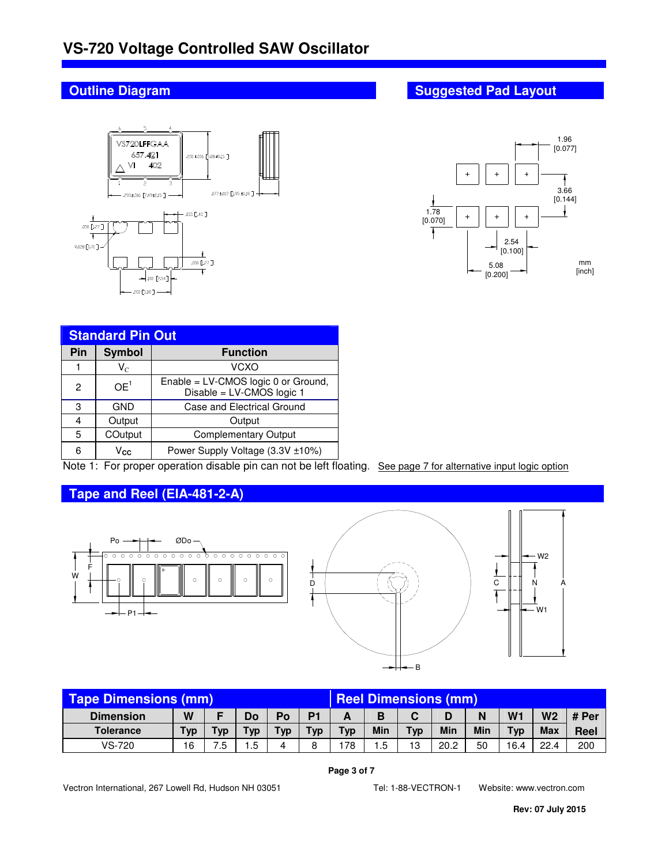

| <b>Standard Pin Out</b> |                         |                                                                  |  |  |  |  |
|-------------------------|-------------------------|------------------------------------------------------------------|--|--|--|--|
| Pin                     | <b>Symbol</b>           | <b>Function</b>                                                  |  |  |  |  |
|                         | $\mathsf{V}_\mathrm{C}$ | VCXO                                                             |  |  |  |  |
| 2                       | OE <sup>1</sup>         | Enable = LV-CMOS logic 0 or Ground,<br>Disable = LV-CMOS logic 1 |  |  |  |  |
| 3                       | GND                     | Case and Electrical Ground                                       |  |  |  |  |
| 4                       | Output                  | Output                                                           |  |  |  |  |
| 5                       | COutput                 | <b>Complementary Output</b>                                      |  |  |  |  |
| 6                       | Vcc                     | Power Supply Voltage (3.3V ±10%)                                 |  |  |  |  |

Note 1: For proper operation disable pin can not be left floating. See page 7 for alternative input logic option

#### **Tape and Reel (EIA-481-2-A)**





| Tape Dimensions (mm) |     |     |     | <b>Reel Dimensions (mm)</b> |                |            |      |            |      |     |      |                |       |
|----------------------|-----|-----|-----|-----------------------------|----------------|------------|------|------------|------|-----|------|----------------|-------|
| <b>Dimension</b>     | W   |     | Do  | Po                          | D <sub>1</sub> |            | в    | C          |      | N   | W1   | W <sub>2</sub> | # Per |
| <b>Tolerance</b>     | Typ | Typ | Тур | Typ                         | <b>Typ</b>     | <b>Typ</b> | Min  | <b>Typ</b> | Min  | Min | Typ  | <b>Max</b>     | Reel  |
| VS-720               | 16  | .5  | .5  | 4                           | 8              | 178        | . .5 | 13         | 20.2 | 50  | 16.4 | 22.4           | 200   |

#### **Page 3 of 7**

Vectron International, 267 Lowell Rd, Hudson NH 03051 Tel: 1-88-VECTRON-1 Website: www.vectron.com

### **Outline Diagram Suggested Pad Layout Accord Pad Layout Accord Pad Layout Accord Pad Layout**

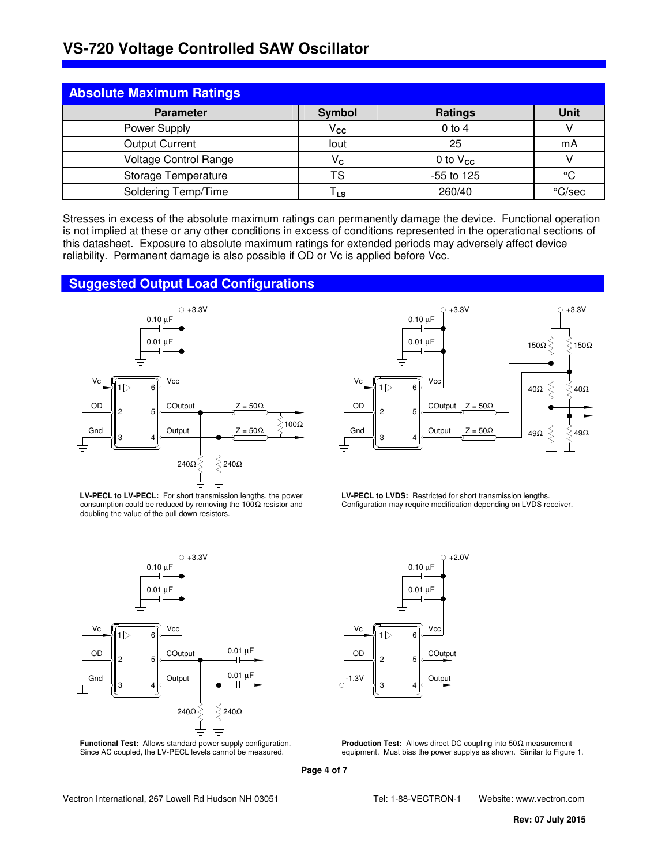| <b>Absolute Maximum Ratings</b> |                             |               |        |
|---------------------------------|-----------------------------|---------------|--------|
| <b>Parameter</b>                | Symbol                      | Ratings       | Unit   |
| Power Supply                    | $V_{\mathbf{C} \mathbf{C}}$ | $0$ to $4$    |        |
| <b>Output Current</b>           | lout                        | 25            | mA     |
| <b>Voltage Control Range</b>    | $V_{\rm c}$                 | 0 to $V_{cc}$ |        |
| Storage Temperature             | TS                          | -55 to 125    | °C     |
| Soldering Temp/Time             | TLs                         | 260/40        | °C/sec |

Stresses in excess of the absolute maximum ratings can permanently damage the device. Functional operation is not implied at these or any other conditions in excess of conditions represented in the operational sections of this datasheet. Exposure to absolute maximum ratings for extended periods may adversely affect device reliability. Permanent damage is also possible if OD or Vc is applied before Vcc.

#### **Suggested Output Load Configurations**





**LV-PECL to LV-PECL:** For short transmission lengths, the power consumption could be reduced by removing the 100 $\Omega$  resistor and doubling the value of the pull down resistors.





**LV-PECL to LVDS:** Restricted for short transmission lengths. Configuration may require modification depending on LVDS receiver.



**Production Test:** Allows direct DC coupling into 50Ω measurement equipment. Must bias the power supplys as shown. Similar to Figure 1.

**Page 4 of 7**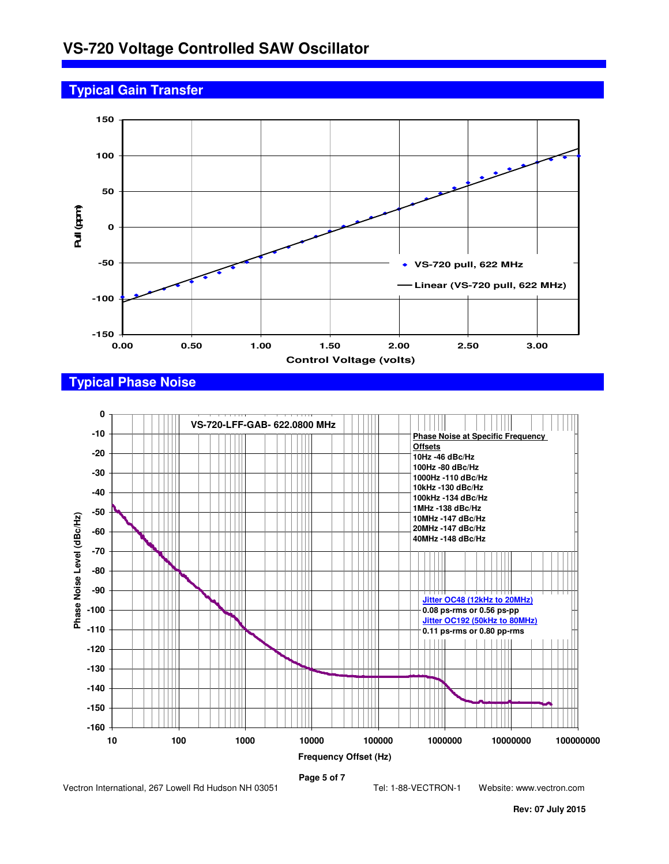## **Typical Gain Transfer**



#### **Typical Phase Noise**



**Page 5 of 7** 

Vectron International, 267 Lowell Rd Hudson NH 03051 Tel: 1-88-VECTRON-1 Website: www.vectron.com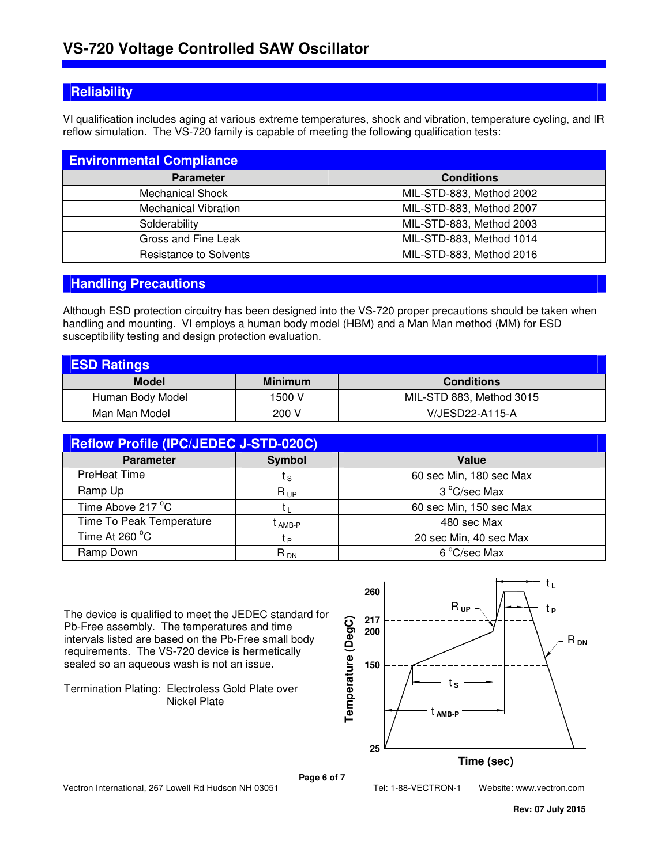#### **Reliability**

VI qualification includes aging at various extreme temperatures, shock and vibration, temperature cycling, and IR reflow simulation. The VS-720 family is capable of meeting the following qualification tests:

| <b>Environmental Compliance</b> |                          |
|---------------------------------|--------------------------|
| <b>Parameter</b>                | <b>Conditions</b>        |
| <b>Mechanical Shock</b>         | MIL-STD-883, Method 2002 |
| <b>Mechanical Vibration</b>     | MIL-STD-883, Method 2007 |
| Solderability                   | MIL-STD-883, Method 2003 |
| Gross and Fine Leak             | MIL-STD-883, Method 1014 |
| <b>Resistance to Solvents</b>   | MIL-STD-883, Method 2016 |

#### **Handling Precautions**

Although ESD protection circuitry has been designed into the VS-720 proper precautions should be taken when handling and mounting. VI employs a human body model (HBM) and a Man Man method (MM) for ESD susceptibility testing and design protection evaluation.

| <b>ESD Ratings</b> |                |                          |
|--------------------|----------------|--------------------------|
| <b>Model</b>       | <b>Minimum</b> | <b>Conditions</b>        |
| Human Body Model   | 1500 V         | MIL-STD 883, Method 3015 |
| Man Man Model      | 200 V          | V/JESD22-A115-A          |

| <b>Reflow Profile (IPC/JEDEC J-STD-020C)</b> |               |                         |  |  |  |  |  |
|----------------------------------------------|---------------|-------------------------|--|--|--|--|--|
| <b>Parameter</b>                             | <b>Symbol</b> | Value                   |  |  |  |  |  |
| <b>PreHeat Time</b>                          | t s           | 60 sec Min, 180 sec Max |  |  |  |  |  |
| Ramp Up                                      | $R_{UP}$      | 3 °C/sec Max            |  |  |  |  |  |
| Time Above 217 °C                            |               | 60 sec Min, 150 sec Max |  |  |  |  |  |
| Time To Peak Temperature                     | .<br>· AMB-P  | 480 sec Max             |  |  |  |  |  |
| Time At 260 °C                               | tв            | 20 sec Min, 40 sec Max  |  |  |  |  |  |
| Ramp Down                                    | $R_{DN}$      | 6 °C/sec Max            |  |  |  |  |  |

The device is qualified to meet the JEDEC standard for Pb-Free assembly. The temperatures and time intervals listed are based on the Pb-Free small body requirements. The VS-720 device is hermetically sealed so an aqueous wash is not an issue.

Termination Plating: Electroless Gold Plate over Nickel Plate



**Page 6 of 7** 

Vectron International, 267 Lowell Rd Hudson NH 03051 Tel: 1-88-VECTRON-1 Website: www.vectron.com